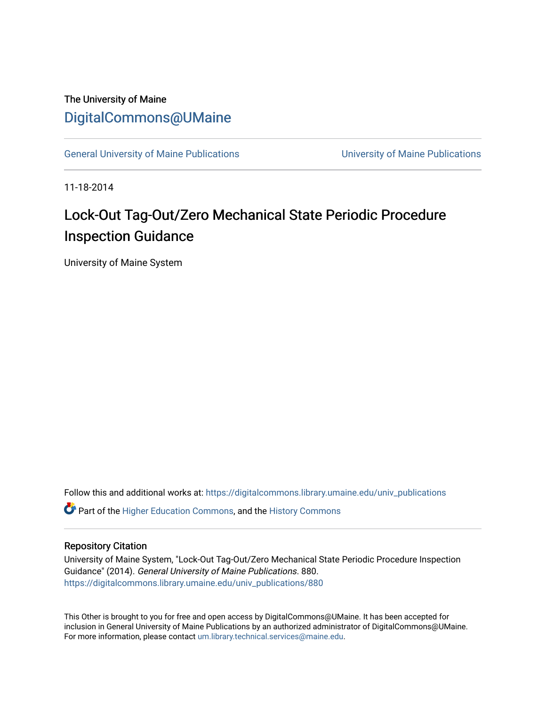## The University of Maine [DigitalCommons@UMaine](https://digitalcommons.library.umaine.edu/)

[General University of Maine Publications](https://digitalcommons.library.umaine.edu/univ_publications) [University of Maine Publications](https://digitalcommons.library.umaine.edu/umaine_publications) 

11-18-2014

# Lock-Out Tag-Out/Zero Mechanical State Periodic Procedure Inspection Guidance

University of Maine System

Follow this and additional works at: [https://digitalcommons.library.umaine.edu/univ\\_publications](https://digitalcommons.library.umaine.edu/univ_publications?utm_source=digitalcommons.library.umaine.edu%2Funiv_publications%2F880&utm_medium=PDF&utm_campaign=PDFCoverPages) 

**C** Part of the [Higher Education Commons,](http://network.bepress.com/hgg/discipline/1245?utm_source=digitalcommons.library.umaine.edu%2Funiv_publications%2F880&utm_medium=PDF&utm_campaign=PDFCoverPages) and the [History Commons](http://network.bepress.com/hgg/discipline/489?utm_source=digitalcommons.library.umaine.edu%2Funiv_publications%2F880&utm_medium=PDF&utm_campaign=PDFCoverPages)

#### Repository Citation

University of Maine System, "Lock-Out Tag-Out/Zero Mechanical State Periodic Procedure Inspection Guidance" (2014). General University of Maine Publications. 880. [https://digitalcommons.library.umaine.edu/univ\\_publications/880](https://digitalcommons.library.umaine.edu/univ_publications/880?utm_source=digitalcommons.library.umaine.edu%2Funiv_publications%2F880&utm_medium=PDF&utm_campaign=PDFCoverPages) 

This Other is brought to you for free and open access by DigitalCommons@UMaine. It has been accepted for inclusion in General University of Maine Publications by an authorized administrator of DigitalCommons@UMaine. For more information, please contact [um.library.technical.services@maine.edu](mailto:um.library.technical.services@maine.edu).